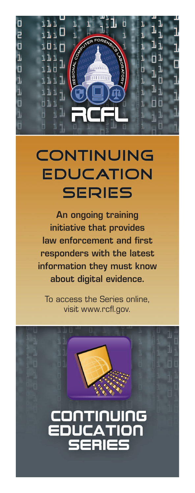

# **CONTINUING EDUCATION SERIES**

An ongoing training initiative that provides law enforcement and first responders with the latest information they must know about digital evidence.

To access the Series online, visit www.rcfl.gov.

# **CONTINUING<br>EDUCATION<br>SERIES**